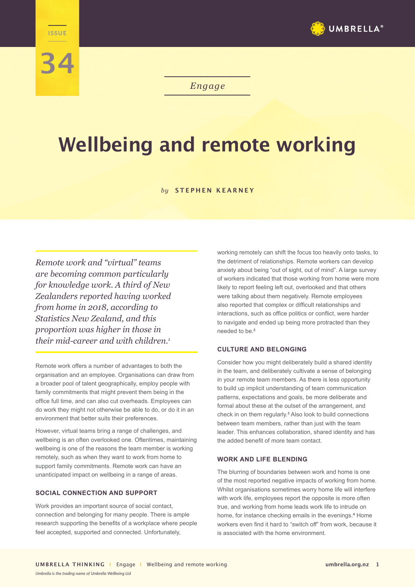

*Engage*

# **Wellbeing and remote working**

#### *by* **STEPHEN KEARNEY**

*Remote work and "virtual" teams are becoming common particularly for knowledge work. A third of New Zealanders reported having worked from home in 2018, according to Statistics New Zealand, and this proportion was higher in those in their mid-career and with children.<sup>1</sup>*

**Engage ISSUE**

**34**

Remote work offers a number of advantages to both the organisation and an employee. Organisations can draw from a broader pool of talent geographically, employ people with family commitments that might prevent them being in the office full time, and can also cut overheads. Employees can do work they might not otherwise be able to do, or do it in an environment that better suits their preferences.

However, virtual teams bring a range of challenges, and wellbeing is an often overlooked one. Oftentimes, maintaining wellbeing is one of the reasons the team member is working remotely, such as when they want to work from home to support family commitments. Remote work can have an unanticipated impact on wellbeing in a range of areas.

## **SOCIAL CONNECTION AND SUPPORT**

Work provides an important source of social contact, connection and belonging for many people. There is ample research supporting the benefits of a workplace where people feel accepted, supported and connected. Unfortunately,

working remotely can shift the focus too heavily onto tasks, to the detriment of relationships. Remote workers can develop anxiety about being "out of sight, out of mind". A large survey of workers indicated that those working from home were more likely to report feeling left out, overlooked and that others were talking about them negatively. Remote employees also reported that complex or difficult relationships and interactions, such as office politics or conflict, were harder to navigate and ended up being more protracted than they needed to be.**<sup>2</sup>**

### **CULTURE AND BELONGING**

Consider how you might deliberately build a shared identity in the team, and deliberately cultivate a sense of belonging in your remote team members. As there is less opportunity to build up implicit understanding of team communication patterns, expectations and goals, be more deliberate and formal about these at the outset of the arrangement, and check in on them regularly.**<sup>3</sup>** Also look to build connections between team members, rather than just with the team leader. This enhances collaboration, shared identity and has the added benefit of more team contact.

### **WORK AND LIFE BLENDING**

The blurring of boundaries between work and home is one of the most reported negative impacts of working from home. Whilst organisations sometimes worry home life will interfere with work life, employees report the opposite is more often true, and working from home leads work life to intrude on home, for instance checking emails in the evenings.<sup>4</sup> Home workers even find it hard to "switch off" from work, because it is associated with the home environment.